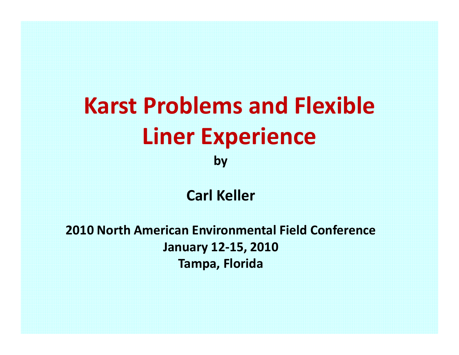# **Karst Problems and Flexible Liner Experience by**

**Carl Keller**

**2010 North American Environmental Field Conference January 12‐15, 2010 Tampa, Florida**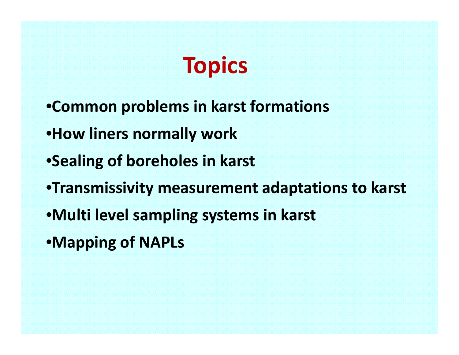

- •**Common problems in karst formations**
- •**How liners normally work**
- •**Sealing of boreholes in karst**
- •**Transmissivity measurement adaptations to karst**
- •**Multi level sampling systems in karst**
- •**Mapping of NAPLs**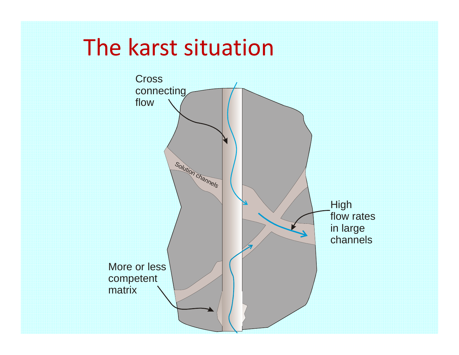## The karst situation

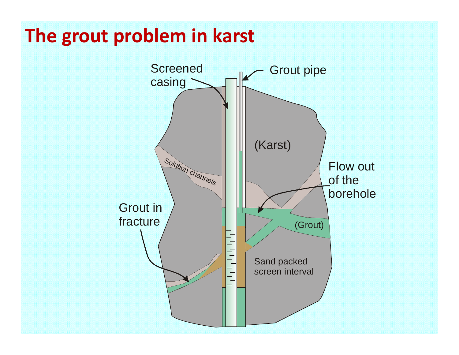# **The grout problem in karst**

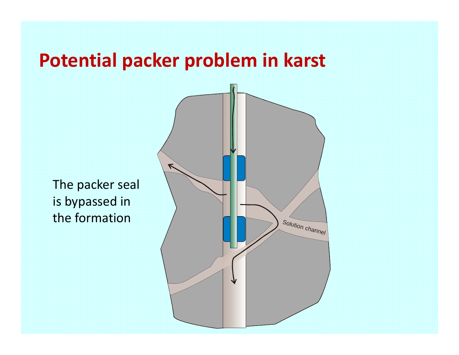### **Potential packer problem in karst**

The packer seal is bypassed in the formation

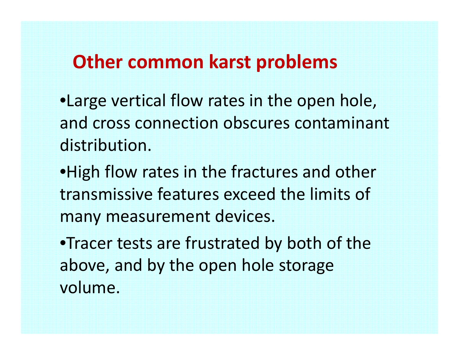### **Other common karst problems**

•Large vertical flow rates in the open hole, and cross connection obscures contaminant distribution.

•High flow rates in the fractures and other transmissive features exceed the limits of many measurement devices.

•Tracer tests are frustrated by both of the above, and by the open hole storage volume.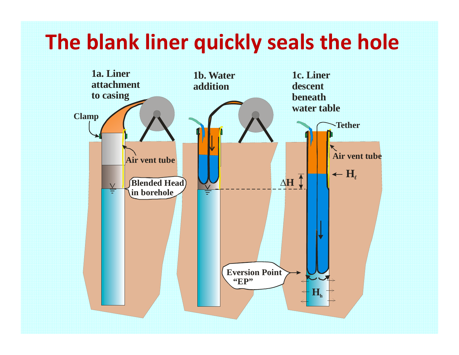## **The blank liner quickly seals the hole**

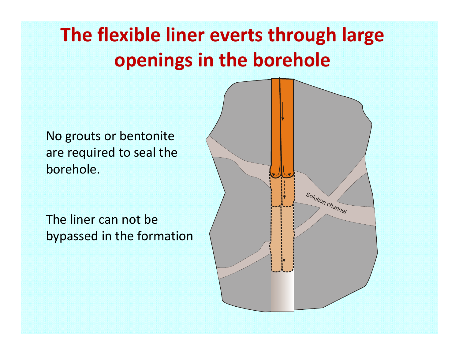# **The flexible liner everts through large openings in the borehole**

No grouts or bentonite are required to seal the borehole.

The liner can not be bypassed in the formation

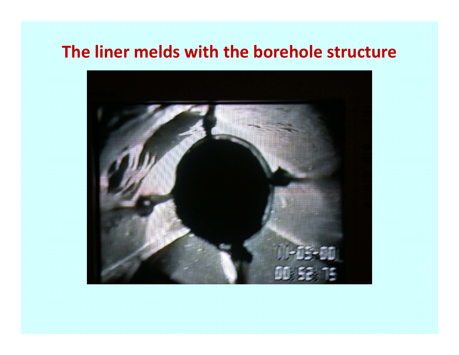#### **The liner melds with the borehole structure**

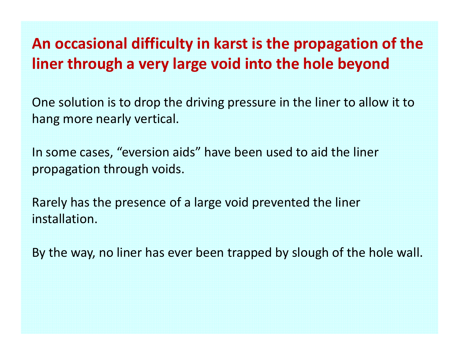#### **An occasional difficulty in karst is the propagation of the liner through <sup>a</sup> very large void into the hole beyond**

One solution is to drop the driving pressure in the liner to allow it to hang more nearly vertical.

In some cases, "eversion aids" have been used to aid the liner propagation through voids.

Rarely has the presence of <sup>a</sup> large void prevented the liner installation.

By the way, no liner has ever been trapped by slough of the hole wall.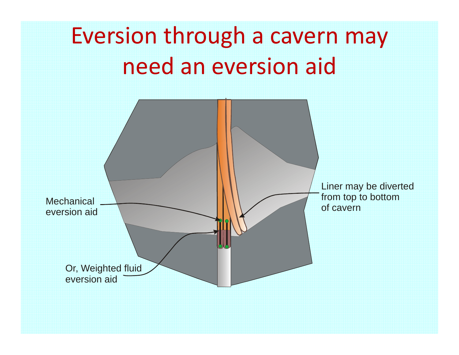# Eversion through <sup>a</sup> cavern may need an eversion aid

![](_page_10_Figure_1.jpeg)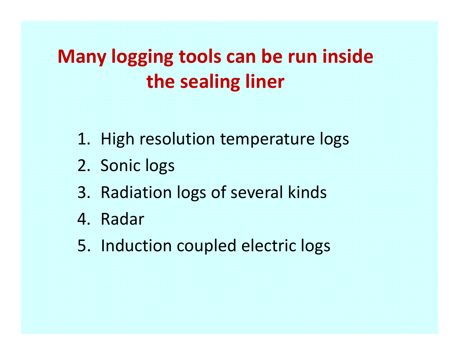## **Many logging tools can be run inside the sealing liner**

- 1. High resolution temperature logs
- 2. Sonic logs
- 3. Radiation logs of several kinds
- 4. Radar
- 5. Induction coupled electric logs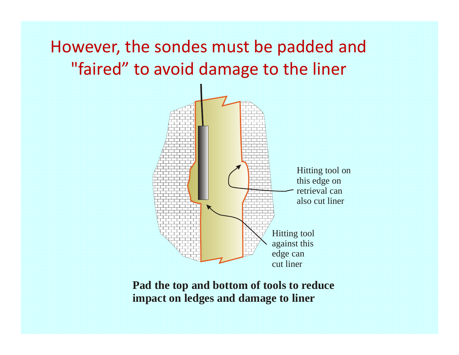### However, the sondes must be padded and "faired" to avoid damage to the liner

![](_page_12_Figure_1.jpeg)

**Pad the top and bottom of tools to reduce impact on ledges and damage to liner**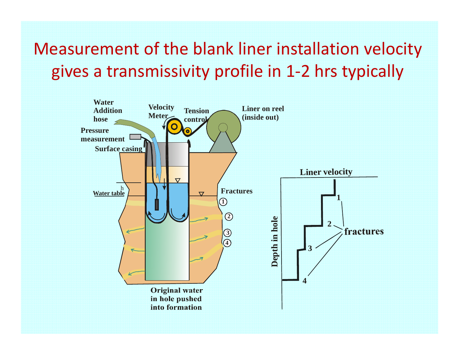Measurement of the blank liner installation velocity gives <sup>a</sup> transmissivity profile in 1‐2 hrs typically

![](_page_13_Figure_1.jpeg)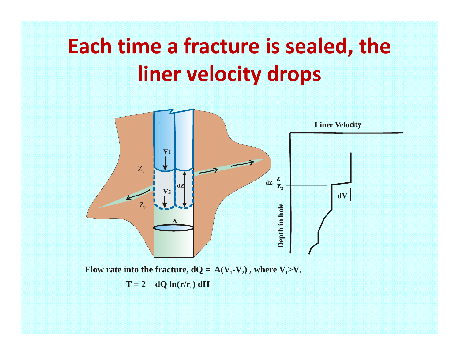# **Each time <sup>a</sup> fracture is sealed, the liner velocity drops**

![](_page_14_Figure_1.jpeg)

 $T = 2$  **dQ ln(r/r<sub>0</sub>) dH**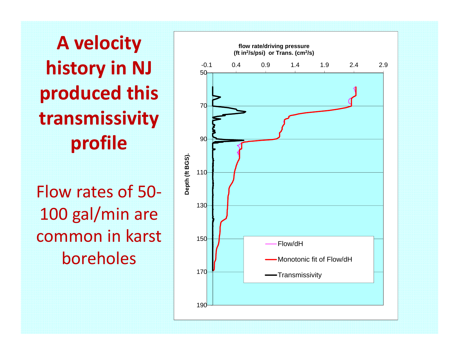**A velocity history in NJ produced this transmissivity profile**

Flow rates of 50‐ 100 gal/min are common in karst boreholes

![](_page_15_Figure_2.jpeg)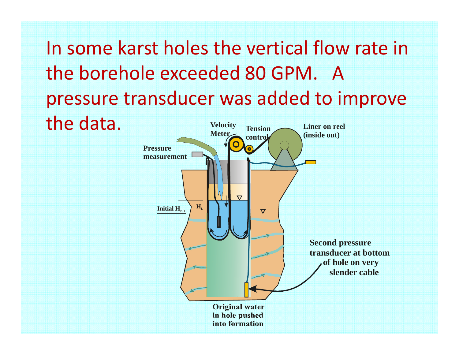In some karst holes the vertical flow rate in the borehole exceeded 80 GPM. Apressure transducer was added to improve the data. *Liner* on reel **Velocity Tension**

![](_page_16_Figure_1.jpeg)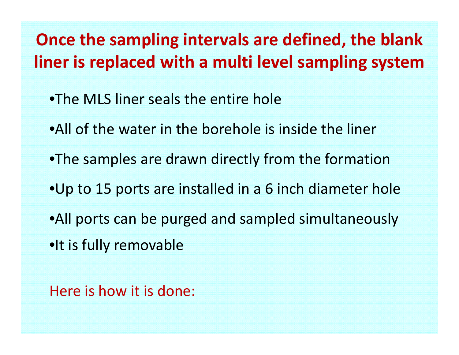### **Once the sampling intervals are defined, the blank liner is replaced with <sup>a</sup> multi level sampling system**

- •The MLS liner seals the entire hole
- •All of the water in the borehole is inside the liner
- •The samples are drawn directly from the formation
- •Up to 15 ports are installed in <sup>a</sup> 6 inch diameter hole
- •All ports can be purged and sampled simultaneously
- •It is fully removable

Here is how it is done: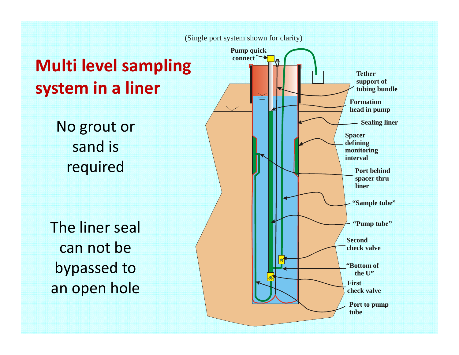![](_page_18_Figure_0.jpeg)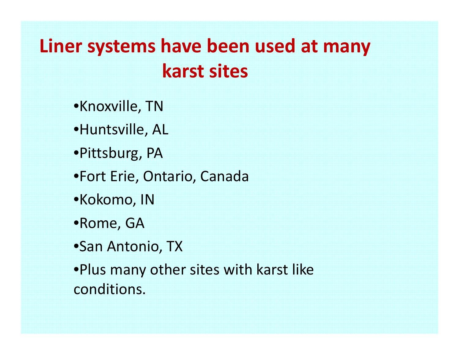### **Liner systems have been used at many karst sites**

•Knoxville, TN

•Huntsville, AL

•Pittsburg, PA

•Fort Erie, Ontario, Canada

•Kokomo, IN

•Rome, GA

•San Antonio, TX

•Plus many other sites with karst like conditions.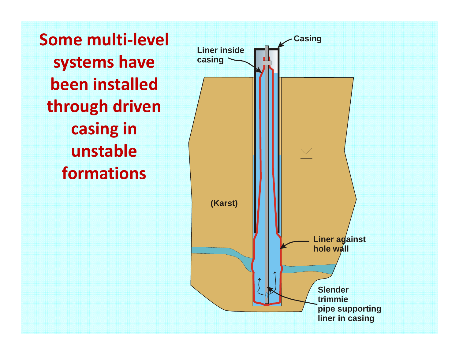**Some multi‐level systems have been installed through driven casing in unstableformations**

![](_page_20_Figure_1.jpeg)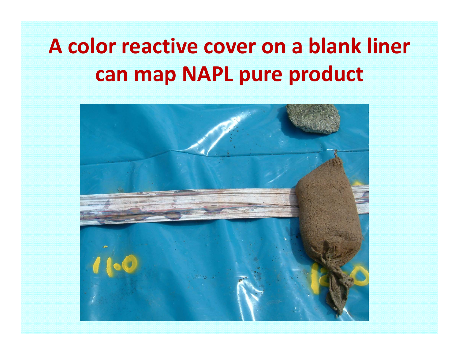# **A color reactive cover on a blank liner can map NAPL pure product**

![](_page_21_Picture_1.jpeg)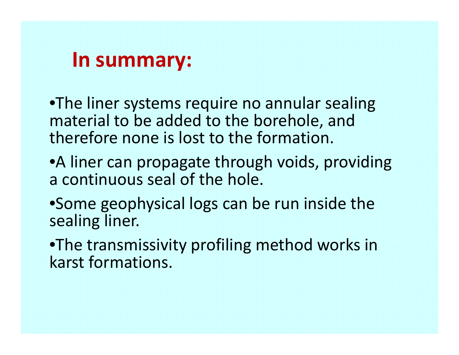### **In summary:**

•The liner systems require no annular sealing material to be added to the borehole, and therefore none is lost to the formation.

- •A liner can propagate through voids, providing a continuous seal of the hole.
- •Some geophysical logs can be run inside the sealing liner.

•The transmissivity profiling method works in karst formations.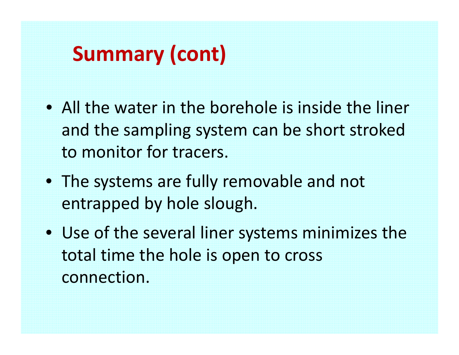## **Summary (cont)**

- All the water in the borehole is inside the liner and the sampling system can be short stroked to monitor for tracers.
- The systems are fully removable and not entrapped by hole slough.
- Use of the several liner systems minimizes the total time the hole is open to cross connection.